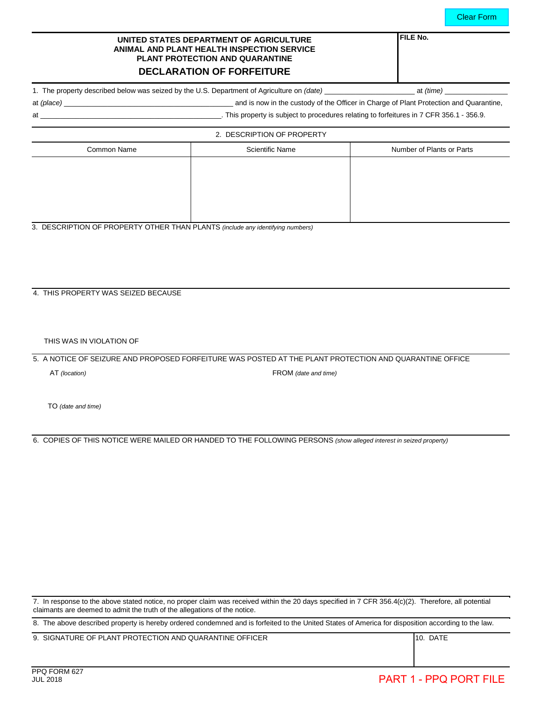### **UNITED STATES DEPARTMENT OF AGRICULTURE ANIMAL AND PLANT HEALTH INSPECTION SERVICE PLANT PROTECTION AND QUARANTINE**

# **DECLARATION OF FORFEITURE**

1. The property described below was seized by the U.S. Department of Agriculture on *(date)* \_\_\_\_\_\_\_\_\_\_\_\_\_\_\_\_\_\_\_\_\_\_\_ at *(time)* \_\_\_\_\_\_\_\_\_\_\_\_\_\_\_\_

**FILE No.**

at *(place)* \_\_\_\_\_\_\_\_\_\_\_\_\_\_\_\_\_\_\_\_\_\_\_\_\_\_\_\_\_\_\_\_\_\_\_\_\_\_\_\_\_\_\_ and is now in the custody of the Officer in Charge of Plant Protection and Quarantine,

at \_\_\_\_\_\_\_\_\_\_\_\_\_\_\_\_\_\_\_\_\_\_\_\_\_\_\_\_\_\_\_\_\_\_\_\_\_\_\_\_\_\_\_\_\_\_. This property is subject to procedures relating to forfeitures in 7 CFR 356.1 - 356.9.

| 2. DESCRIPTION OF PROPERTY |                        |                           |  |
|----------------------------|------------------------|---------------------------|--|
| Common Name                | <b>Scientific Name</b> | Number of Plants or Parts |  |
|                            |                        |                           |  |
|                            |                        |                           |  |
|                            |                        |                           |  |
|                            |                        |                           |  |
|                            |                        |                           |  |

3. DESCRIPTION OF PROPERTY OTHER THAN PLANTS *(include any identifying numbers)*

### 4. THIS PROPERTY WAS SEIZED BECAUSE

THIS WAS IN VIOLATION OF

5. A NOTICE OF SEIZURE AND PROPOSED FORFEITURE WAS POSTED AT THE PLANT PROTECTION AND QUARANTINE OFFICE

AT *(location)* FROM *(date and time)*

TO *(date and time)*

6. COPIES OF THIS NOTICE WERE MAILED OR HANDED TO THE FOLLOWING PERSONS *(show alleged interest in seized property)*

7. In response to the above stated notice, no proper claim was received within the 20 days specified in 7 CFR 356.4(c)(2). Therefore, all potential claimants are deemed to admit the truth of the allegations of the notice.

8. The above described property is hereby ordered condemned and is forfeited to the United States of America for disposition according to the law.

9. SIGNATURE OF PLANT PROTECTION AND QUARANTINE OFFICER 10. DATE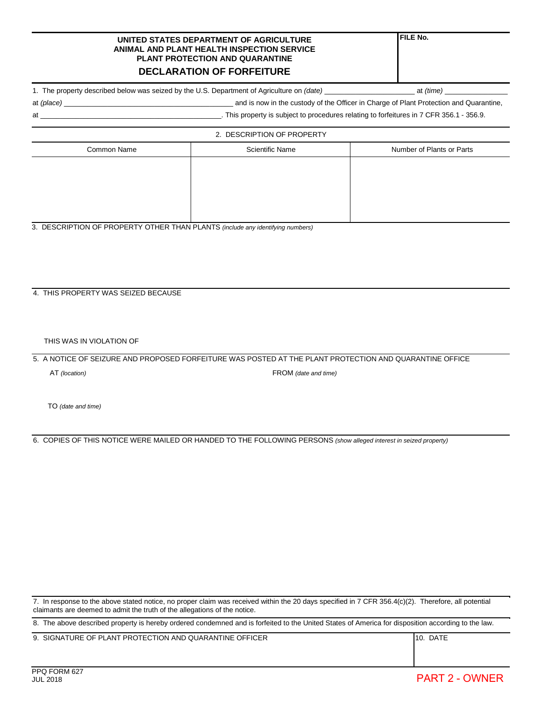#### **UNITED STATES DEPARTMENT OF AGRICULTURE ANIMAL AND PLANT HEALTH INSPECTION SERVICE PLANT PROTECTION AND QUARANTINE**

## **DECLARATION OF FORFEITURE**

1. The property described below was seized by the U.S. Department of Agriculture on *(date)* \_\_\_\_\_\_\_\_\_\_\_\_\_\_\_\_\_\_\_\_\_\_\_ at *(time)* \_\_\_\_\_\_\_\_\_\_\_\_\_\_\_\_

at *(place)* \_\_\_\_\_\_\_\_\_\_\_\_\_\_\_\_\_\_\_\_\_\_\_\_\_\_\_\_\_\_\_\_\_\_\_\_\_\_\_\_\_\_\_ and is now in the custody of the Officer in Charge of Plant Protection and Quarantine,

at the state of the state of the state of the state of the state of the state of the state of the state of the state of the state of the state of the state of the state of the state of the state of the state of the state o

| 2. DESCRIPTION OF PROPERTY |                        |                           |  |  |
|----------------------------|------------------------|---------------------------|--|--|
| Common Name                | <b>Scientific Name</b> | Number of Plants or Parts |  |  |
|                            |                        |                           |  |  |
|                            |                        |                           |  |  |
|                            |                        |                           |  |  |
|                            |                        |                           |  |  |
|                            |                        |                           |  |  |

3. DESCRIPTION OF PROPERTY OTHER THAN PLANTS *(include any identifying numbers)*

### 4. THIS PROPERTY WAS SEIZED BECAUSE

THIS WAS IN VIOLATION OF

5. A NOTICE OF SEIZURE AND PROPOSED FORFEITURE WAS POSTED AT THE PLANT PROTECTION AND QUARANTINE OFFICE

AT *(location)* FROM *(date and time)*

TO *(date and time)*

6. COPIES OF THIS NOTICE WERE MAILED OR HANDED TO THE FOLLOWING PERSONS *(show alleged interest in seized property)*

7. In response to the above stated notice, no proper claim was received within the 20 days specified in 7 CFR 356.4(c)(2). Therefore, all potential claimants are deemed to admit the truth of the allegations of the notice.

8. The above described property is hereby ordered condemned and is forfeited to the United States of America for disposition according to the law.

9. SIGNATURE OF PLANT PROTECTION AND QUARANTINE OFFICER 10. DATE

**FILE No.**